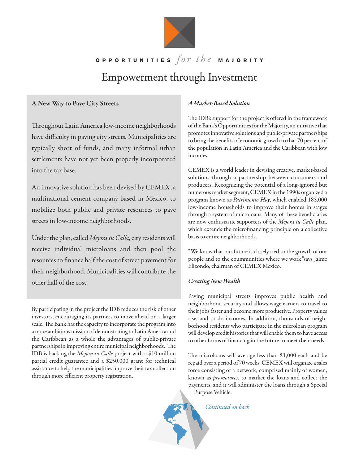

## **O P P** ORTUNITIES  $\int \theta r \, dr \, dr \, dr$  **MAJORITY** Empowerment through Investment

## A New Way to Pave City Streets

Throughout Latin America low-income neighborhoods have difficulty in paving city streets. Municipalities are typically short of funds, and many informal urban settlements have not yet been properly incorporated into the tax base.

An innovative solution has been devised by CEMEX, a multinational cement company based in Mexico, to mobilize both public and private resources to pave streets in low-income neighborhoods.

Under the plan, called Mejora tu Calle, city residents will receive individual microloans and then pool the resources to finance half the cost of street pavement for their neighborhood. Municipalities will contribute the other half of the cost.

By participating in the project the IDB reduces the risk of other investors, encouraging its partners to move ahead on a larger scale. The Bank has the capacity to incorporate the program into a more ambitious mission of demonstrating to Latin America and the Caribbean as a whole the advantages of public-private partnerships in improving entire municipal neighborhoods. The IDB is backing the Mejora tu Calle project with a \$10 million partial credit guarantee and a \$250,000 grant for technical assistance to help the municipalities improve their tax collection through more efficient property registration.

## A Market-Based Solution

The IDB's support for the project is offered in the framework of the Bank's Opportunities for the Majority, an initiative that promotes innovative solutions and public-private partnerships to bring the benefits of economic growth to that 70 percent of the population in Latin America and the Caribbean with low incomes.

CEMEX is a world leader in devising creative, market-based solutions through a partnership between consumers and producers. Recognizing the potential of a long-ignored but numerous market segment, CEMEX in the 1990s organized a program known as Patrimonio Hoy, which enabled 185,000 low-income households to improve their homes in stages through a system of microloans. Many of these benefciaries are now enthusiastic supporters of the Mejora tu Calle plan, which extends the microfnancing principle on a collective basis to entire neighborhoods.

"We know that our future is closely tied to the growth of our people and to the coummunities where we work,"says Jaime Elizondo, chairman of CEMEX Mexico.

## Creating New Wealth

Paving municipal streets improves public health and neighborhood security and allows wage earners to travel to their jobs faster and become more productive. Property values rise, and so do incomes. In addition, thousands of neighborhood residents who participate in the microloan program will develop credit histories that will enable them to have access to other forms of financing in the future to meet their needs.

The microloans will average less than \$1,000 each and be repaid over a period of 70 weeks. CEMEX will organize a sales force consisting of a network, comprised mainly of women, known as *promotores*, to market the loans and collect the payments, and it will administer the loans through a Special Purpose Vehicle.

Continued on back